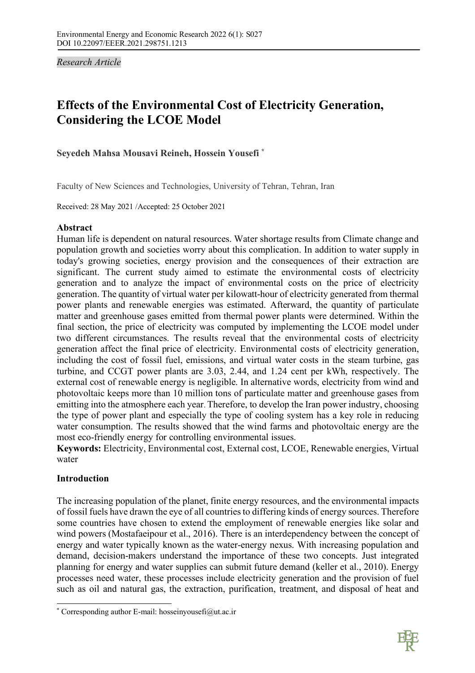*Research Article* 

# **Effects of the Environmental Cost of Electricity Generation, Considering the LCOE Model**

# **Seyedeh Mahsa Mousavi Reineh, Hossein Yousefi \***

Faculty of New Sciences and Technologies, University of Tehran, Tehran, Iran

Received: 28 May 2021 /Accepted: 25 October 2021

## **Abstract**

Human life is dependent on natural resources. Water shortage results from Climate change and population growth and societies worry about this complication. In addition to water supply in today's growing societies, energy provision and the consequences of their extraction are significant. The current study aimed to estimate the environmental costs of electricity generation and to analyze the impact of environmental costs on the price of electricity generation. The quantity of virtual water per kilowatt-hour of electricity generated from thermal power plants and renewable energies was estimated. Afterward, the quantity of particulate matter and greenhouse gases emitted from thermal power plants were determined. Within the final section, the price of electricity was computed by implementing the LCOE model under two different circumstances. The results reveal that the environmental costs of electricity generation affect the final price of electricity. Environmental costs of electricity generation, including the cost of fossil fuel, emissions, and virtual water costs in the steam turbine, gas turbine, and CCGT power plants are 3.03, 2.44, and 1.24 cent per kWh, respectively. The external cost of renewable energy is negligible. In alternative words, electricity from wind and photovoltaic keeps more than 10 million tons of particulate matter and greenhouse gases from emitting into the atmosphere each year. Therefore, to develop the Iran power industry, choosing the type of power plant and especially the type of cooling system has a key role in reducing water consumption. The results showed that the wind farms and photovoltaic energy are the most eco-friendly energy for controlling environmental issues.

**Keywords:** Electricity, Environmental cost, External cost, LCOE, Renewable energies, Virtual water

# **Introduction**

The increasing population of the planet, finite energy resources, and the environmental impacts of fossil fuels have drawn the eye of all countries to differing kinds of energy sources. Therefore some countries have chosen to extend the employment of renewable energies like solar and wind powers (Mostafaeipour et al., 2016). There is an interdependency between the concept of energy and water typically known as the water-energy nexus. With increasing population and demand, decision-makers understand the importance of these two concepts. Just integrated planning for energy and water supplies can submit future demand (keller et al., 2010). Energy processes need water, these processes include electricity generation and the provision of fuel such as oil and natural gas, the extraction, purification, treatment, and disposal of heat and



 <sup>\*</sup> Corresponding author E-mail: hosseinyousefi@ut.ac.ir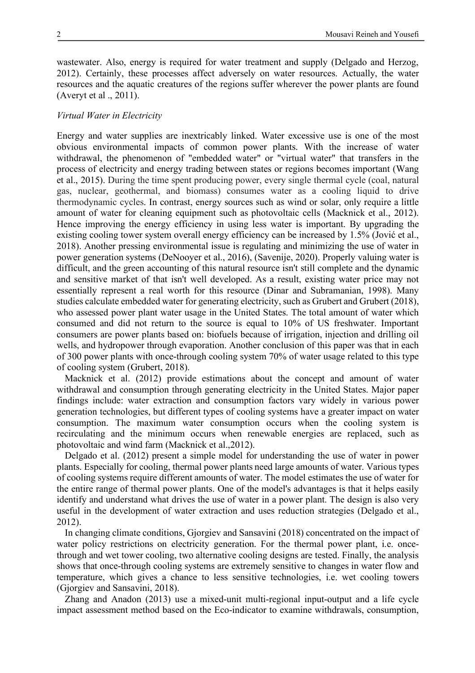wastewater. Also, energy is required for water treatment and supply (Delgado and Herzog, 2012). Certainly, these processes affect adversely on water resources. Actually, the water resources and the aquatic creatures of the regions suffer wherever the power plants are found (Averyt et al ., 2011).

## *Virtual Water in Electricity*

Energy and water supplies are inextricably linked. Water excessive use is one of the most obvious environmental impacts of common power plants. With the increase of water withdrawal, the phenomenon of "embedded water" or "virtual water" that transfers in the process of electricity and energy trading between states or regions becomes important (Wang et al., 2015). During the time spent producing power, every single thermal cycle (coal, natural gas, nuclear, geothermal, and biomass) consumes water as a cooling liquid to drive thermodynamic cycles. In contrast, energy sources such as wind or solar, only require a little amount of water for cleaning equipment such as photovoltaic cells (Macknick et al., 2012). Hence improving the energy efficiency in using less water is important. By upgrading the existing cooling tower system overall energy efficiency can be increased by 1.5% (Jović et al., 2018). Another pressing environmental issue is regulating and minimizing the use of water in power generation systems (DeNooyer et al., 2016), (Savenije, 2020). Properly valuing water is difficult, and the green accounting of this natural resource isn't still complete and the dynamic and sensitive market of that isn't well developed. As a result, existing water price may not essentially represent a real worth for this resource (Dinar and Subramanian, 1998). Many studies calculate embedded water for generating electricity, such as Grubert and Grubert (2018), who assessed power plant water usage in the United States. The total amount of water which consumed and did not return to the source is equal to 10% of US freshwater. Important consumers are power plants based on: biofuels because of irrigation, injection and drilling oil wells, and hydropower through evaporation. Another conclusion of this paper was that in each of 300 power plants with once-through cooling system 70% of water usage related to this type of cooling system (Grubert, 2018).

Macknick et al. (2012) provide estimations about the concept and amount of water withdrawal and consumption through generating electricity in the United States. Major paper findings include: water extraction and consumption factors vary widely in various power generation technologies, but different types of cooling systems have a greater impact on water consumption. The maximum water consumption occurs when the cooling system is recirculating and the minimum occurs when renewable energies are replaced, such as photovoltaic and wind farm (Macknick et al.,2012).

Delgado et al. (2012) present a simple model for understanding the use of water in power plants. Especially for cooling, thermal power plants need large amounts of water. Various types of cooling systems require different amounts of water. The model estimates the use of water for the entire range of thermal power plants. One of the model's advantages is that it helps easily identify and understand what drives the use of water in a power plant. The design is also very useful in the development of water extraction and uses reduction strategies (Delgado et al., 2012).

In changing climate conditions, Gjorgiev and Sansavini (2018) concentrated on the impact of water policy restrictions on electricity generation. For the thermal power plant, i.e. oncethrough and wet tower cooling, two alternative cooling designs are tested. Finally, the analysis shows that once-through cooling systems are extremely sensitive to changes in water flow and temperature, which gives a chance to less sensitive technologies, i.e. wet cooling towers (Gjorgiev and Sansavini, 2018).

Zhang and Anadon (2013) use a mixed-unit multi-regional input-output and a life cycle impact assessment method based on the Eco-indicator to examine withdrawals, consumption,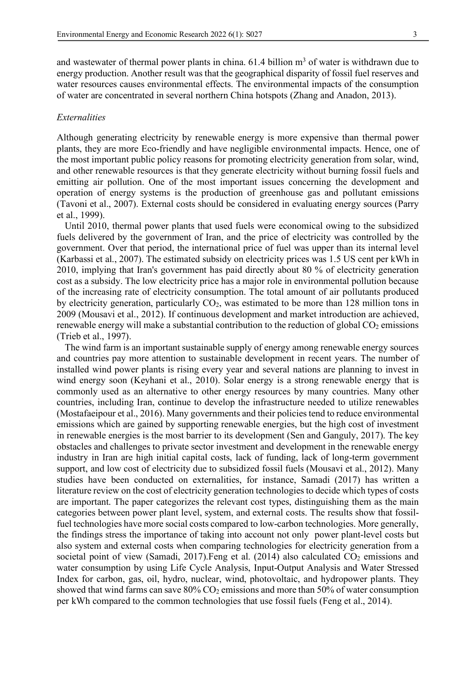and wastewater of thermal power plants in china.  $61.4$  billion  $m<sup>3</sup>$  of water is withdrawn due to energy production. Another result was that the geographical disparity of fossil fuel reserves and water resources causes environmental effects. The environmental impacts of the consumption of water are concentrated in several northern China hotspots (Zhang and Anadon, 2013).

## *Externalities*

Although generating electricity by renewable energy is more expensive than thermal power plants, they are more Eco-friendly and have negligible environmental impacts. Hence, one of the most important public policy reasons for promoting electricity generation from solar, wind, and other renewable resources is that they generate electricity without burning fossil fuels and emitting air pollution. One of the most important issues concerning the development and operation of energy systems is the production of greenhouse gas and pollutant emissions (Tavoni et al., 2007). External costs should be considered in evaluating energy sources (Parry et al., 1999).

Until 2010, thermal power plants that used fuels were economical owing to the subsidized fuels delivered by the government of Iran, and the price of electricity was controlled by the government. Over that period, the international price of fuel was upper than its internal level (Karbassi et al., 2007). The estimated subsidy on electricity prices was 1.5 US cent per kWh in 2010, implying that Iran's government has paid directly about 80 % of electricity generation cost as a subsidy. The low electricity price has a major role in environmental pollution because of the increasing rate of electricity consumption. The total amount of air pollutants produced by electricity generation, particularly  $CO<sub>2</sub>$ , was estimated to be more than 128 million tons in 2009 (Mousavi et al., 2012). If continuous development and market introduction are achieved, renewable energy will make a substantial contribution to the reduction of global  $CO<sub>2</sub>$  emissions (Trieb et al., 1997).

The wind farm is an important sustainable supply of energy among renewable energy sources and countries pay more attention to sustainable development in recent years. The number of installed wind power plants is rising every year and several nations are planning to invest in wind energy soon (Keyhani et al., 2010). Solar energy is a strong renewable energy that is commonly used as an alternative to other energy resources by many countries. Many other countries, including Iran, continue to develop the infrastructure needed to utilize renewables (Mostafaeipour et al., 2016). Many governments and their policies tend to reduce environmental emissions which are gained by supporting renewable energies, but the high cost of investment in renewable energies is the most barrier to its development (Sen and Ganguly, 2017). The key obstacles and challenges to private sector investment and development in the renewable energy industry in Iran are high initial capital costs, lack of funding, lack of long-term government support, and low cost of electricity due to subsidized fossil fuels (Mousavi et al., 2012). Many studies have been conducted on externalities, for instance, Samadi (2017) has written a literature review on the cost of electricity generation technologies to decide which types of costs are important. The paper categorizes the relevant cost types, distinguishing them as the main categories between power plant level, system, and external costs. The results show that fossilfuel technologies have more social costs compared to low-carbon technologies. More generally, the findings stress the importance of taking into account not only power plant-level costs but also system and external costs when comparing technologies for electricity generation from a societal point of view (Samadi, 2017). Feng et al.  $(2014)$  also calculated  $CO<sub>2</sub>$  emissions and water consumption by using Life Cycle Analysis, Input-Output Analysis and Water Stressed Index for carbon, gas, oil, hydro, nuclear, wind, photovoltaic, and hydropower plants. They showed that wind farms can save  $80\%$  CO<sub>2</sub> emissions and more than 50% of water consumption per kWh compared to the common technologies that use fossil fuels (Feng et al., 2014).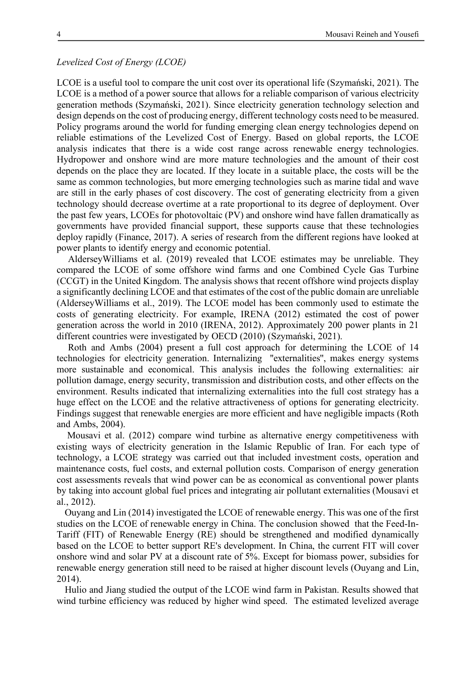#### *Levelized Cost of Energy (LCOE)*

LCOE is a useful tool to compare the unit cost over its operational life (Szymański, 2021). The LCOE is a method of a power source that allows for a reliable comparison of various electricity generation methods (Szymański, 2021). Since electricity generation technology selection and design depends on the cost of producing energy, different technology costs need to be measured. Policy programs around the world for funding emerging clean energy technologies depend on reliable estimations of the Levelized Cost of Energy. Based on global reports, the LCOE analysis indicates that there is a wide cost range across renewable energy technologies. Hydropower and onshore wind are more mature technologies and the amount of their cost depends on the place they are located. If they locate in a suitable place, the costs will be the same as common technologies, but more emerging technologies such as marine tidal and wave are still in the early phases of cost discovery. The cost of generating electricity from a given technology should decrease overtime at a rate proportional to its degree of deployment. Over the past few years, LCOEs for photovoltaic (PV) and onshore wind have fallen dramatically as governments have provided financial support, these supports cause that these technologies deploy rapidly (Finance, 2017). A series of research from the different regions have looked at power plants to identify energy and economic potential.

AlderseyWilliams et al. (2019) revealed that LCOE estimates may be unreliable. They compared the LCOE of some offshore wind farms and one Combined Cycle Gas Turbine (CCGT) in the United Kingdom. The analysis shows that recent offshore wind projects display a significantly declining LCOE and that estimates of the cost of the public domain are unreliable (AlderseyWilliams et al., 2019). The LCOE model has been commonly used to estimate the costs of generating electricity. For example, IRENA (2012) estimated the cost of power generation across the world in 2010 (IRENA, 2012). Approximately 200 power plants in 21 different countries were investigated by OECD (2010) (Szymański, 2021).

Roth and Ambs (2004) present a full cost approach for determining the LCOE of 14 technologies for electricity generation. Internalizing ''externalities'', makes energy systems more sustainable and economical. This analysis includes the following externalities: air pollution damage, energy security, transmission and distribution costs, and other effects on the environment. Results indicated that internalizing externalities into the full cost strategy has a huge effect on the LCOE and the relative attractiveness of options for generating electricity. Findings suggest that renewable energies are more efficient and have negligible impacts (Roth and Ambs, 2004).

Mousavi et al. (2012) compare wind turbine as alternative energy competitiveness with existing ways of electricity generation in the Islamic Republic of Iran. For each type of technology, a LCOE strategy was carried out that included investment costs, operation and maintenance costs, fuel costs, and external pollution costs. Comparison of energy generation cost assessments reveals that wind power can be as economical as conventional power plants by taking into account global fuel prices and integrating air pollutant externalities (Mousavi et al., 2012).

Ouyang and Lin (2014) investigated the LCOE of renewable energy. This was one of the first studies on the LCOE of renewable energy in China. The conclusion showed that the Feed-In-Tariff (FIT) of Renewable Energy (RE) should be strengthened and modified dynamically based on the LCOE to better support RE's development. In China, the current FIT will cover onshore wind and solar PV at a discount rate of 5%. Except for biomass power, subsidies for renewable energy generation still need to be raised at higher discount levels (Ouyang and Lin, 2014).

Hulio and Jiang studied the output of the LCOE wind farm in Pakistan. Results showed that wind turbine efficiency was reduced by higher wind speed. The estimated levelized average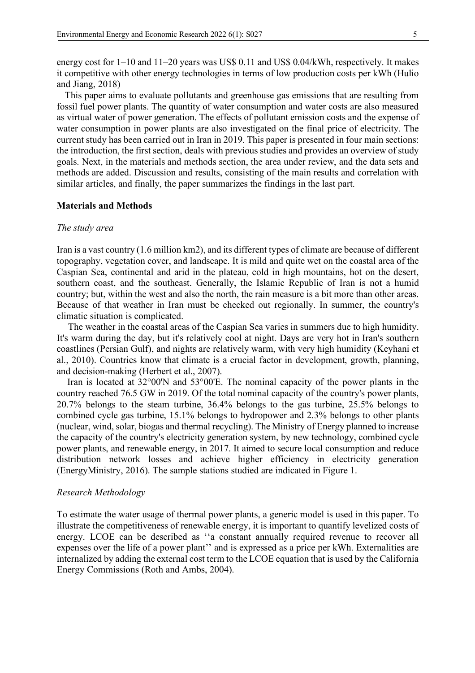energy cost for 1–10 and 11–20 years was US\$ 0.11 and US\$ 0.04/kWh, respectively. It makes it competitive with other energy technologies in terms of low production costs per kWh (Hulio and Jiang, 2018)

This paper aims to evaluate pollutants and greenhouse gas emissions that are resulting from fossil fuel power plants. The quantity of water consumption and water costs are also measured as virtual water of power generation. The effects of pollutant emission costs and the expense of water consumption in power plants are also investigated on the final price of electricity. The current study has been carried out in Iran in 2019. This paper is presented in four main sections: the introduction, the first section, deals with previous studies and provides an overview of study goals. Next, in the materials and methods section, the area under review, and the data sets and methods are added. Discussion and results, consisting of the main results and correlation with similar articles, and finally, the paper summarizes the findings in the last part.

#### **Materials and Methods**

#### *The study area*

Iran is a vast country (1.6 million km2), and its different types of climate are because of different topography, vegetation cover, and landscape. It is mild and quite wet on the coastal area of the Caspian Sea, continental and arid in the plateau, cold in high mountains, hot on the desert, southern coast, and the southeast. Generally, the Islamic Republic of Iran is not a humid country; but, within the west and also the north, the rain measure is a bit more than other areas. Because of that weather in Iran must be checked out regionally. In summer, the country's climatic situation is complicated.

The weather in the coastal areas of the Caspian Sea varies in summers due to high humidity. It's warm during the day, but it's relatively cool at night. Days are very hot in Iran's southern coastlines (Persian Gulf), and nights are relatively warm, with very high humidity (Keyhani et al., 2010). Countries know that climate is a crucial factor in development, growth, planning, and decision-making (Herbert et al., 2007).

Iran is located at 32°00'N and 53°00'E. The nominal capacity of the power plants in the country reached 76.5 GW in 2019. Of the total nominal capacity of the country's power plants, 20.7% belongs to the steam turbine, 36.4% belongs to the gas turbine, 25.5% belongs to combined cycle gas turbine, 15.1% belongs to hydropower and 2.3% belongs to other plants (nuclear, wind, solar, biogas and thermal recycling). The Ministry of Energy planned to increase the capacity of the country's electricity generation system, by new technology, combined cycle power plants, and renewable energy, in 2017. It aimed to secure local consumption and reduce distribution network losses and achieve higher efficiency in electricity generation (EnergyMinistry, 2016). The sample stations studied are indicated in Figure 1.

#### *Research Methodology*

To estimate the water usage of thermal power plants, a generic model is used in this paper. To illustrate the competitiveness of renewable energy, it is important to quantify levelized costs of energy. LCOE can be described as ''a constant annually required revenue to recover all expenses over the life of a power plant'' and is expressed as a price per kWh. Externalities are internalized by adding the external cost term to the LCOE equation that is used by the California Energy Commissions (Roth and Ambs, 2004).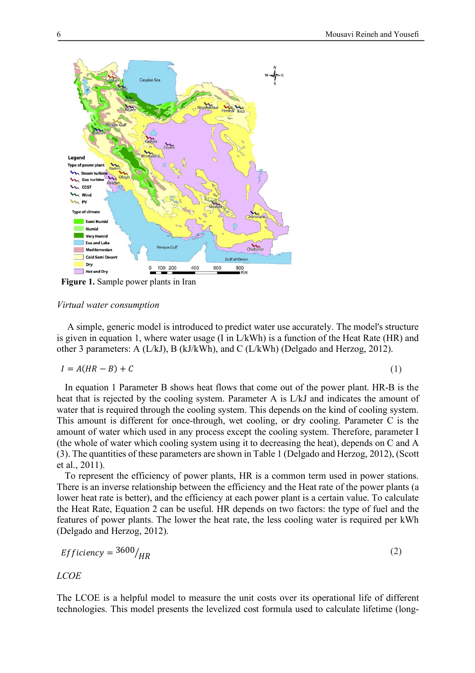

**Figure 1.** Sample power plants in Iran

## *Virtual water consumption*

A simple, generic model is introduced to predict water use accurately. The model's structure is given in equation 1, where water usage (I in L/kWh) is a function of the Heat Rate (HR) and other 3 parameters: A (L/kJ), B (kJ/kWh), and C (L/kWh) (Delgado and Herzog, 2012).

$$
I = A(HR - B) + C \tag{1}
$$

In equation 1 Parameter B shows heat flows that come out of the power plant. HR-B is the heat that is rejected by the cooling system. Parameter A is L/kJ and indicates the amount of water that is required through the cooling system. This depends on the kind of cooling system. This amount is different for once-through, wet cooling, or dry cooling. Parameter C is the amount of water which used in any process except the cooling system. Therefore, parameter I (the whole of water which cooling system using it to decreasing the heat), depends on C and A (3). The quantities of these parameters are shown in Table 1 (Delgado and Herzog, 2012), (Scott et al., 2011).

To represent the efficiency of power plants, HR is a common term used in power stations. There is an inverse relationship between the efficiency and the Heat rate of the power plants (a lower heat rate is better), and the efficiency at each power plant is a certain value. To calculate the Heat Rate, Equation 2 can be useful. HR depends on two factors: the type of fuel and the features of power plants. The lower the heat rate, the less cooling water is required per kWh (Delgado and Herzog, 2012).

$$
Efficiency = \frac{3600}{HR} \tag{2}
$$

*LCOE*

The LCOE is a helpful model to measure the unit costs over its operational life of different technologies. This model presents the levelized cost formula used to calculate lifetime (long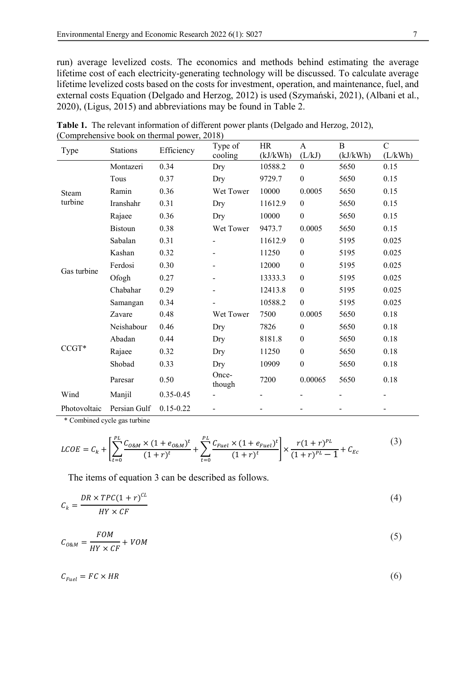run) average levelized costs. The economics and methods behind estimating the average lifetime cost of each electricity-generating technology will be discussed. To calculate average lifetime levelized costs based on the costs for investment, operation, and maintenance, fuel, and external costs Equation (Delgado and Herzog, 2012) is used (Szymański, 2021), (Albani et al., 2020), (Ligus, 2015) and abbreviations may be found in Table 2.

| Type         | <b>Stations</b> | Efficiency    | Type of<br>cooling | HR<br>(kJ/kWh) | A<br>(L/kJ)      | $\bf{B}$<br>(kJ/kWh) | $\mathcal{C}$<br>(L/kWh) |
|--------------|-----------------|---------------|--------------------|----------------|------------------|----------------------|--------------------------|
|              | Montazeri       | 0.34          | Dry                | 10588.2        | $\boldsymbol{0}$ | 5650                 | 0.15                     |
|              | Tous            | 0.37          | Dry                | 9729.7         | $\boldsymbol{0}$ | 5650                 | 0.15                     |
| Steam        | Ramin           | 0.36          | Wet Tower          | 10000          | 0.0005           | 5650                 | 0.15                     |
| turbine      | Iranshahr       | 0.31          | Dry                | 11612.9        | $\boldsymbol{0}$ | 5650                 | 0.15                     |
|              | Rajaee          | 0.36          | Dry                | 10000          | $\boldsymbol{0}$ | 5650                 | 0.15                     |
|              | <b>Bistoun</b>  | 0.38          | Wet Tower          | 9473.7         | 0.0005           | 5650                 | 0.15                     |
|              | Sabalan         | 0.31          |                    | 11612.9        | $\boldsymbol{0}$ | 5195                 | 0.025                    |
|              | Kashan          | 0.32          |                    | 11250          | $\boldsymbol{0}$ | 5195                 | 0.025                    |
|              | Ferdosi         | 0.30          |                    | 12000          | $\boldsymbol{0}$ | 5195                 | 0.025                    |
| Gas turbine  | Ofogh           | 0.27          |                    | 13333.3        | $\boldsymbol{0}$ | 5195                 | 0.025                    |
|              | Chabahar        | 0.29          |                    | 12413.8        | $\boldsymbol{0}$ | 5195                 | 0.025                    |
|              | Samangan        | 0.34          |                    | 10588.2        | $\boldsymbol{0}$ | 5195                 | 0.025                    |
|              | Zavare          | 0.48          | Wet Tower          | 7500           | 0.0005           | 5650                 | 0.18                     |
|              | Neishabour      | 0.46          | Dry                | 7826           | $\boldsymbol{0}$ | 5650                 | 0.18                     |
|              | Abadan          | 0.44          | Dry                | 8181.8         | $\boldsymbol{0}$ | 5650                 | 0.18                     |
| $CCGT*$      | Rajaee          | 0.32          | Dry                | 11250          | $\boldsymbol{0}$ | 5650                 | 0.18                     |
|              | Shobad          | 0.33          | Dry                | 10909          | $\boldsymbol{0}$ | 5650                 | 0.18                     |
|              | Paresar         | 0.50          | Once-<br>though    | 7200           | 0.00065          | 5650                 | 0.18                     |
| Wind         | Manjil          | $0.35 - 0.45$ |                    |                |                  |                      |                          |
| Photovoltaic | Persian Gulf    | $0.15 - 0.22$ |                    |                |                  |                      |                          |

**Table 1.** The relevant information of different power plants (Delgado and Herzog, 2012), (Comprehensive book on thermal power, 2018)

\* Combined cycle gas turbine

$$
LCOE = C_k + \left[ \sum_{t=0}^{PL} \frac{C_{O\&M} \times (1 + e_{O\&M})^t}{(1+r)^t} + \sum_{t=0}^{PL} \frac{C_{Fuel} \times (1 + e_{Fuel})^t}{(1+r)^t} \right] \times \frac{r(1+r)^{PL}}{(1+r)^{PL} - 1} + C_{Ec}
$$
(3)

The items of equation 3 can be described as follows.

$$
C_k = \frac{DR \times TPC(1+r)^{CL}}{HY \times CF}
$$
\n<sup>(4)</sup>

$$
C_{O\&M} = \frac{FOM}{HY \times CF} + VOM \tag{5}
$$

 $C_{\text{Euel}} = F C \times H R$  (6)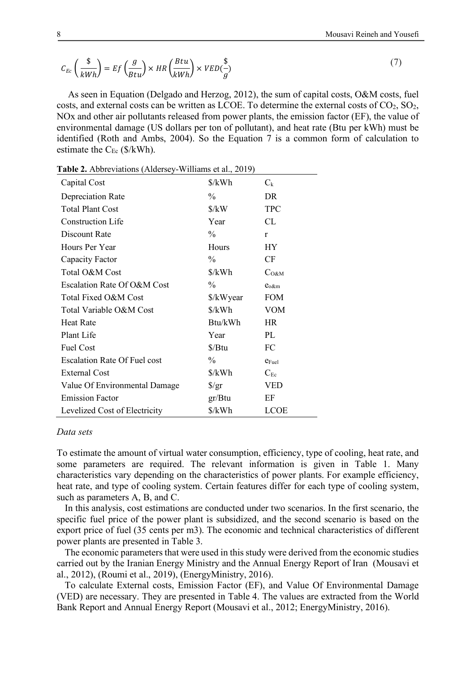$$
C_{Ec}\left(\frac{\$}{kWh}\right) = Ef\left(\frac{g}{Btu}\right) \times HR\left(\frac{Btu}{kWh}\right) \times VED\left(\frac{\$}{g}\right) \tag{7}
$$

As seen in Equation (Delgado and Herzog, 2012), the sum of capital costs, O&M costs, fuel costs, and external costs can be written as LCOE. To determine the external costs of  $CO<sub>2</sub>$ ,  $SO<sub>2</sub>$ , NOx and other air pollutants released from power plants, the emission factor (EF), the value of environmental damage (US dollars per ton of pollutant), and heat rate (Btu per kWh) must be identified (Roth and Ambs, 2004). So the Equation 7 is a common form of calculation to estimate the  $C_{Ec}$  (\$/kWh).

| Table 2. Abbreviations (Aldersey-Williams et al., 2019) |                                |                   |  |  |  |  |  |
|---------------------------------------------------------|--------------------------------|-------------------|--|--|--|--|--|
| Capital Cost                                            | $\frac{\sqrt{2}}{2}$           | $C_{k}$           |  |  |  |  |  |
| <b>Depreciation Rate</b>                                | $\frac{0}{0}$                  | DR                |  |  |  |  |  |
| <b>Total Plant Cost</b>                                 | $\frac{\text{S}}{\text{K}}$    | <b>TPC</b>        |  |  |  |  |  |
| <b>Construction Life</b>                                | Year                           | CL                |  |  |  |  |  |
| Discount Rate                                           | $\frac{0}{0}$                  | r                 |  |  |  |  |  |
| Hours Per Year                                          | Hours                          | <b>HY</b>         |  |  |  |  |  |
| Capacity Factor                                         | $\frac{0}{0}$                  | CF                |  |  |  |  |  |
| Total O&M Cost                                          | $\frac{\sqrt{2}}{2}$           | $C_{O\&M}$        |  |  |  |  |  |
| Escalation Rate Of O&M Cost                             | $\frac{0}{0}$                  | $e_{\alpha\&m}$   |  |  |  |  |  |
| Total Fixed O&M Cost                                    | \$/kWyear                      | <b>FOM</b>        |  |  |  |  |  |
| Total Variable O&M Cost                                 | $\frac{\sqrt{2}}{2}$           | <b>VOM</b>        |  |  |  |  |  |
| <b>Heat Rate</b>                                        | Btu/kWh                        | HR                |  |  |  |  |  |
| Plant Life                                              | Year                           | PL                |  |  |  |  |  |
| <b>Fuel Cost</b>                                        | $\frac{\text{S}}{\text{B}}$ tu | FC                |  |  |  |  |  |
| <b>Escalation Rate Of Fuel cost</b>                     | $\frac{0}{0}$                  | $e_{\text{Fuel}}$ |  |  |  |  |  |
| <b>External Cost</b>                                    | $\frac{\sqrt{2}}{2}$           | $C_{Ec}$          |  |  |  |  |  |
| Value Of Environmental Damage                           | $\frac{f}{g}$                  | <b>VED</b>        |  |  |  |  |  |
| <b>Emission Factor</b>                                  | gr/Btu                         | EF                |  |  |  |  |  |
| Levelized Cost of Electricity                           | \$/kWh                         | <b>LCOE</b>       |  |  |  |  |  |

#### *Data sets*

To estimate the amount of virtual water consumption, efficiency, type of cooling, heat rate, and some parameters are required. The relevant information is given in Table 1. Many characteristics vary depending on the characteristics of power plants. For example efficiency, heat rate, and type of cooling system. Certain features differ for each type of cooling system, such as parameters A, B, and C.

In this analysis, cost estimations are conducted under two scenarios. In the first scenario, the specific fuel price of the power plant is subsidized, and the second scenario is based on the export price of fuel (35 cents per m3). The economic and technical characteristics of different power plants are presented in Table 3.

The economic parameters that were used in this study were derived from the economic studies carried out by the Iranian Energy Ministry and the Annual Energy Report of Iran (Mousavi et al., 2012), (Roumi et al., 2019), (EnergyMinistry, 2016).

To calculate External costs, Emission Factor (EF), and Value Of Environmental Damage (VED) are necessary. They are presented in Table 4. The values are extracted from the World Bank Report and Annual Energy Report (Mousavi et al., 2012; EnergyMinistry, 2016).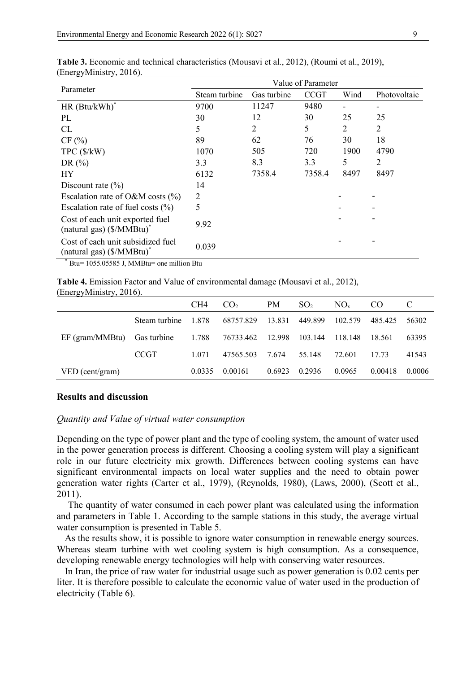|                                                                            | Value of Parameter |                |             |      |                |  |  |  |
|----------------------------------------------------------------------------|--------------------|----------------|-------------|------|----------------|--|--|--|
| Parameter                                                                  | Steam turbine      | Gas turbine    | <b>CCGT</b> | Wind | Photovoltaic   |  |  |  |
| $HR$ (Btu/kWh) <sup>*</sup>                                                | 9700               | 11247          | 9480        |      |                |  |  |  |
| PL                                                                         | 30                 | 12             | 30          | 25   | 25             |  |  |  |
| CL                                                                         | 5                  | $\overline{2}$ | 5           | 2    | $\overline{2}$ |  |  |  |
| CF(%)                                                                      | 89                 | 62             | 76          | 30   | 18             |  |  |  |
| TPC(S/kW)                                                                  | 1070               | 505            | 720         | 1900 | 4790           |  |  |  |
| DR $(\% )$                                                                 | 3.3                | 8.3            | 3.3         | 5    | $\overline{2}$ |  |  |  |
| HY                                                                         | 6132               | 7358.4         | 7358.4      | 8497 | 8497           |  |  |  |
| Discount rate $(\% )$                                                      | 14                 |                |             |      |                |  |  |  |
| Escalation rate of O&M costs $(\% )$                                       | 2                  |                |             |      |                |  |  |  |
| Escalation rate of fuel costs $(\% )$                                      | 5                  |                |             |      |                |  |  |  |
| Cost of each unit exported fuel<br>(natural gas) $(S/MMBtu)^*$             | 9.92               |                |             |      |                |  |  |  |
| Cost of each unit subsidized fuel<br>(natural gas) (\$/MMBtu) <sup>*</sup> | 0.039              |                |             |      |                |  |  |  |

**Table 3.** Economic and technical characteristics (Mousavi et al., 2012), (Roumi et al., 2019), (EnergyMinistry, 2016).

 $*$  Btu= 1055.05585 J, MMBtu= one million Btu

**Table 4.** Emission Factor and Value of environmental damage (Mousavi et al., 2012), (EnergyMinistry, 2016).

|                 |               | CH4     | CO <sub>2</sub> | <b>PM</b> | SO <sub>2</sub> | $NO_{x}$ | CO.     |        |
|-----------------|---------------|---------|-----------------|-----------|-----------------|----------|---------|--------|
|                 | Steam turbine | 1.878   | 68757.829       | 13.831    | 449.899         | 102.579  | 485.425 | 56302  |
| EF (gram/MMBtu) | Gas turbine   | 1.788   | 76733.462       | 12.998    | 103.144         | 118.148  | 18.561  | 63395  |
|                 | <b>CCGT</b>   | 1 0 7 1 | 47565.503       | 7.674     | 55.148          | 72.601   | 17.73   | 41543  |
| VED (cent/gram) |               | 0.0335  | 0.00161         | 0.6923    | 0.2936          | 0.0965   | 0.00418 | 0.0006 |

#### **Results and discussion**

#### *Quantity and Value of virtual water consumption*

Depending on the type of power plant and the type of cooling system, the amount of water used in the power generation process is different. Choosing a cooling system will play a significant role in our future electricity mix growth. Differences between cooling systems can have significant environmental impacts on local water supplies and the need to obtain power generation water rights (Carter et al., 1979), (Reynolds, 1980), (Laws, 2000), (Scott et al., 2011).

The quantity of water consumed in each power plant was calculated using the information and parameters in Table 1. According to the sample stations in this study, the average virtual water consumption is presented in Table 5.

As the results show, it is possible to ignore water consumption in renewable energy sources. Whereas steam turbine with wet cooling system is high consumption. As a consequence, developing renewable energy technologies will help with conserving water resources.

In Iran, the price of raw water for industrial usage such as power generation is 0.02 cents per liter. It is therefore possible to calculate the economic value of water used in the production of electricity (Table 6).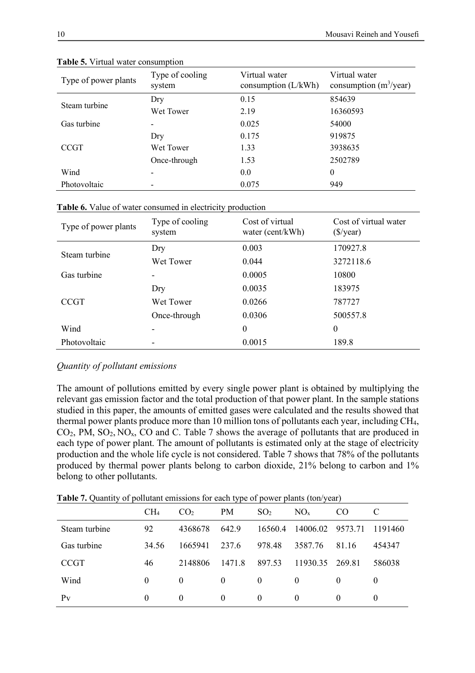| Type of power plants | Type of cooling<br>system | Virtual water<br>consumption $(L/kWh)$ | Virtual water<br>consumption $(m^3$ /year) |  |
|----------------------|---------------------------|----------------------------------------|--------------------------------------------|--|
|                      | Dry                       | 0.15                                   | 854639                                     |  |
| Steam turbine        | Wet Tower                 | 2.19                                   | 16360593                                   |  |
| Gas turbine          |                           | 0.025                                  | 54000                                      |  |
|                      | Dry                       | 0.175                                  | 919875                                     |  |
| <b>CCGT</b>          | Wet Tower                 | 1.33                                   | 3938635                                    |  |
|                      | Once-through              | 1.53                                   | 2502789                                    |  |
| Wind                 |                           | 0.0                                    | $\theta$                                   |  |
| Photovoltaic         |                           | 0.075                                  | 949                                        |  |

**Table 5.** Virtual water consumption

|  |  | Table 6. Value of water consumed in electricity production |  |  |  |
|--|--|------------------------------------------------------------|--|--|--|
|--|--|------------------------------------------------------------|--|--|--|

| Type of power plants | Type of cooling<br>system | Cost of virtual<br>water (cent/kWh) | Cost of virtual water<br>$(\frac{\sqrt{}}{2})$ |
|----------------------|---------------------------|-------------------------------------|------------------------------------------------|
| Steam turbine        | Dry                       | 0.003                               | 170927.8                                       |
|                      | Wet Tower                 | 0.044                               | 3272118.6                                      |
| Gas turbine          |                           | 0.0005                              | 10800                                          |
|                      | Dry                       | 0.0035                              | 183975                                         |
| <b>CCGT</b>          | Wet Tower                 | 0.0266                              | 787727                                         |
|                      | Once-through              | 0.0306                              | 500557.8                                       |
| Wind                 | -                         | $\boldsymbol{0}$                    | $\theta$                                       |
| Photovoltaic         |                           | 0.0015                              | 189.8                                          |

# *Quantity of pollutant emissions*

The amount of pollutions emitted by every single power plant is obtained by multiplying the relevant gas emission factor and the total production of that power plant. In the sample stations studied in this paper, the amounts of emitted gases were calculated and the results showed that thermal power plants produce more than 10 million tons of pollutants each year, including CH4,  $CO<sub>2</sub>$ , PM,  $SO<sub>2</sub>$ , NO<sub>x</sub>, CO and C. Table 7 shows the average of pollutants that are produced in each type of power plant. The amount of pollutants is estimated only at the stage of electricity production and the whole life cycle is not considered. Table 7 shows that 78% of the pollutants produced by thermal power plants belong to carbon dioxide, 21% belong to carbon and 1% belong to other pollutants.

**Table 7.** Quantity of pollutant emissions for each type of power plants (ton/year)

|               | CH <sub>4</sub> | CO <sub>2</sub> | <b>PM</b> | SO <sub>2</sub> | NO <sub>x</sub> | CO.      | C        |
|---------------|-----------------|-----------------|-----------|-----------------|-----------------|----------|----------|
| Steam turbine | 92              | 4368678         | 642.9     | 16560.4         | 14006.02        | 9573.71  | 1191460  |
| Gas turbine   | 34.56           | 1665941         | 237.6     | 978.48          | 3587.76         | 81.16    | 454347   |
| <b>CCGT</b>   | 46              | 2148806         | 1471.8    | 897.53          | 11930 35        | 269.81   | 586038   |
| Wind          | $\theta$        | $\theta$        | $\Omega$  | $\theta$        | $\theta$        | $\theta$ | $\theta$ |
| Pv            | $\theta$        | $\Omega$        | $\Omega$  | $\theta$        | $\Omega$        | $\theta$ | $\Omega$ |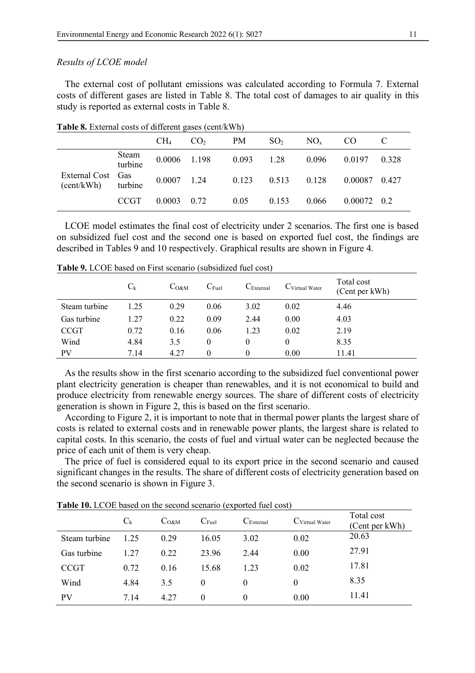#### *Results of LCOE model*

The external cost of pollutant emissions was calculated according to Formula 7. External costs of different gases are listed in Table 8. The total cost of damages to air quality in this study is reported as external costs in Table 8.

|                                 |                  | CH <sub>4</sub>     | CO <sub>2</sub> | <b>PM</b>    | SO <sub>2</sub> | $NO_{x}$ | CO.                 |       |
|---------------------------------|------------------|---------------------|-----------------|--------------|-----------------|----------|---------------------|-------|
|                                 | Steam<br>turbine | 0.0006 1.198        |                 | $0.093$ 1.28 |                 | 0.096    | 0.0197              | 0.328 |
| External Cost Gas<br>(cent/kWh) | turbine          | $0.0007$ 1.24       |                 | 0.123        | 0.513           | 0.128    | 0.00087             | 0.427 |
|                                 | <b>CCGT</b>      | $0.0003 \quad 0.72$ |                 | 0.05         | 0.153           | 0.066    | $0.00072 \quad 0.2$ |       |

**Table 8.** External costs of different gases (cent/kWh)

LCOE model estimates the final cost of electricity under 2 scenarios. The first one is based on subsidized fuel cost and the second one is based on exported fuel cost, the findings are described in Tables 9 and 10 respectively. Graphical results are shown in Figure 4.

|               | $C_{k}$ | $C_{O\&M}$ | $C_{\text{Full}}$ | $C_{\text{External}}$ | $C_{\text{Virtual Water}}$ | Total cost<br>(Cent per kWh) |
|---------------|---------|------------|-------------------|-----------------------|----------------------------|------------------------------|
| Steam turbine | 1.25    | 0.29       | 0.06              | 3.02                  | 0.02                       | 4.46                         |
| Gas turbine   | 1.27    | 0.22       | 0.09              | 2.44                  | 0.00                       | 4.03                         |
| <b>CCGT</b>   | 0.72    | 0.16       | 0.06              | 1.23                  | 0.02                       | 2.19                         |
| Wind          | 4.84    | 3.5        | $\theta$          | $\theta$              | $\theta$                   | 8.35                         |
| PV            | 7.14    | 4.27       |                   |                       | 0.00                       | 11.41                        |

**Table 9.** LCOE based on First scenario (subsidized fuel cost)

As the results show in the first scenario according to the subsidized fuel conventional power plant electricity generation is cheaper than renewables, and it is not economical to build and produce electricity from renewable energy sources. The share of different costs of electricity generation is shown in Figure 2, this is based on the first scenario.

According to Figure 2, it is important to note that in thermal power plants the largest share of costs is related to external costs and in renewable power plants, the largest share is related to capital costs. In this scenario, the costs of fuel and virtual water can be neglected because the price of each unit of them is very cheap.

The price of fuel is considered equal to its export price in the second scenario and caused significant changes in the results. The share of different costs of electricity generation based on the second scenario is shown in Figure 3.

|               | $C_{k}$ | C <sub>O&amp;M</sub> | $C_{\text{Full}}$ | $C_{\text{External}}$ | C Virtual Water | Total cost<br>(Cent per kWh) |
|---------------|---------|----------------------|-------------------|-----------------------|-----------------|------------------------------|
| Steam turbine | 1.25    | 0.29                 | 16.05             | 3.02                  | 0.02            | 20.63                        |
| Gas turbine   | 1.27    | 0.22                 | 23.96             | 2.44                  | 0.00            | 27.91                        |
| <b>CCGT</b>   | 0.72    | 0.16                 | 15.68             | 1.23                  | 0.02            | 17.81                        |
| Wind          | 4.84    | 3.5                  | $\theta$          | $_{0}$                | $\theta$        | 8.35                         |
| <b>PV</b>     | 7.14    | 4.27                 | $\theta$          | $\theta$              | 0.00            | 11.41                        |

**Table 10.** LCOE based on the second scenario (exported fuel cost)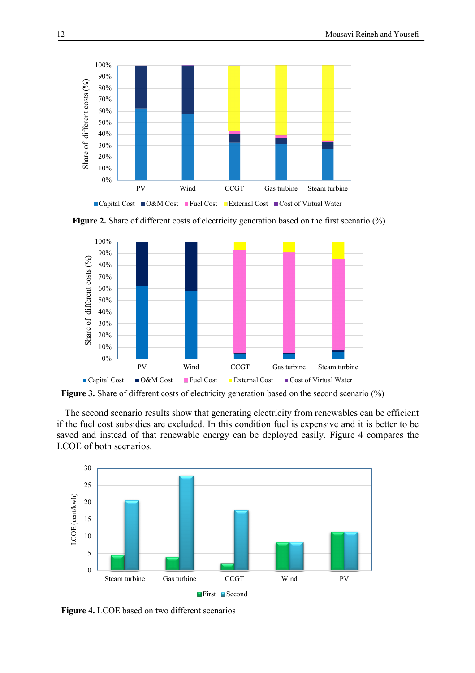





**Figure** 3. Share of different costs of electricity generation based on the second scenario (%)

The second scenario results show that generating electricity from renewables can be efficient if the fuel cost subsidies are excluded. In this condition fuel is expensive and it is better to be saved and instead of that renewable energy can be deployed easily. Figure 4 compares the LCOE of both scenarios.



**Figure 4.** LCOE based on two different scenarios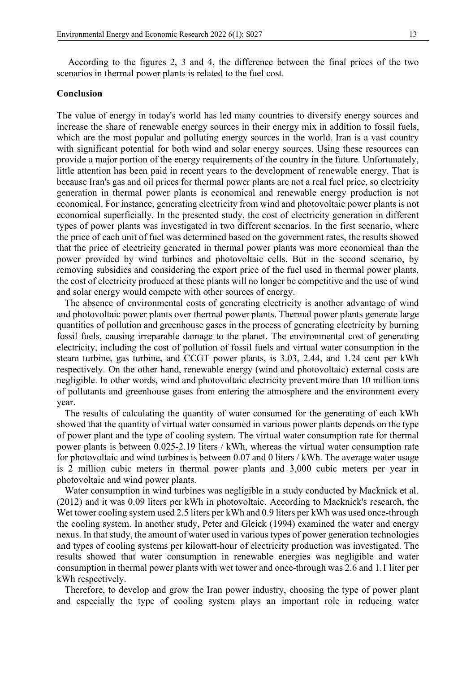According to the figures 2, 3 and 4, the difference between the final prices of the two scenarios in thermal power plants is related to the fuel cost.

#### **Conclusion**

The value of energy in today's world has led many countries to diversify energy sources and increase the share of renewable energy sources in their energy mix in addition to fossil fuels, which are the most popular and polluting energy sources in the world. Iran is a vast country with significant potential for both wind and solar energy sources. Using these resources can provide a major portion of the energy requirements of the country in the future. Unfortunately, little attention has been paid in recent years to the development of renewable energy. That is because Iran's gas and oil prices for thermal power plants are not a real fuel price, so electricity generation in thermal power plants is economical and renewable energy production is not economical. For instance, generating electricity from wind and photovoltaic power plants is not economical superficially. In the presented study, the cost of electricity generation in different types of power plants was investigated in two different scenarios. In the first scenario, where the price of each unit of fuel was determined based on the government rates, the results showed that the price of electricity generated in thermal power plants was more economical than the power provided by wind turbines and photovoltaic cells. But in the second scenario, by removing subsidies and considering the export price of the fuel used in thermal power plants, the cost of electricity produced at these plants will no longer be competitive and the use of wind and solar energy would compete with other sources of energy.

The absence of environmental costs of generating electricity is another advantage of wind and photovoltaic power plants over thermal power plants. Thermal power plants generate large quantities of pollution and greenhouse gases in the process of generating electricity by burning fossil fuels, causing irreparable damage to the planet. The environmental cost of generating electricity, including the cost of pollution of fossil fuels and virtual water consumption in the steam turbine, gas turbine, and CCGT power plants, is 3.03, 2.44, and 1.24 cent per kWh respectively. On the other hand, renewable energy (wind and photovoltaic) external costs are negligible. In other words, wind and photovoltaic electricity prevent more than 10 million tons of pollutants and greenhouse gases from entering the atmosphere and the environment every year.

The results of calculating the quantity of water consumed for the generating of each kWh showed that the quantity of virtual water consumed in various power plants depends on the type of power plant and the type of cooling system. The virtual water consumption rate for thermal power plants is between 0.025-2.19 liters / kWh, whereas the virtual water consumption rate for photovoltaic and wind turbines is between 0.07 and 0 liters / kWh. The average water usage is 2 million cubic meters in thermal power plants and 3,000 cubic meters per year in photovoltaic and wind power plants.

Water consumption in wind turbines was negligible in a study conducted by Macknick et al. (2012) and it was 0.09 liters per kWh in photovoltaic. According to Macknick's research, the Wet tower cooling system used 2.5 liters per kWh and 0.9 liters per kWh was used once-through the cooling system. In another study, Peter and Gleick (1994) examined the water and energy nexus. In that study, the amount of water used in various types of power generation technologies and types of cooling systems per kilowatt-hour of electricity production was investigated. The results showed that water consumption in renewable energies was negligible and water consumption in thermal power plants with wet tower and once-through was 2.6 and 1.1 liter per kWh respectively.

Therefore, to develop and grow the Iran power industry, choosing the type of power plant and especially the type of cooling system plays an important role in reducing water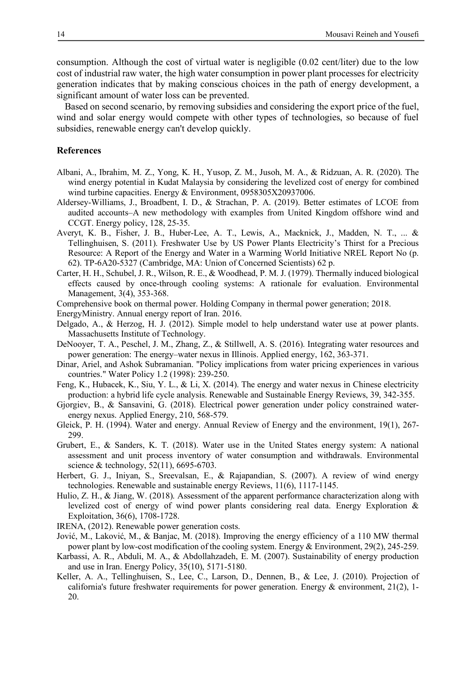consumption. Although the cost of virtual water is negligible (0.02 cent/liter) due to the low cost of industrial raw water, the high water consumption in power plant processes for electricity generation indicates that by making conscious choices in the path of energy development, a significant amount of water loss can be prevented.

Based on second scenario, by removing subsidies and considering the export price of the fuel, wind and solar energy would compete with other types of technologies, so because of fuel subsidies, renewable energy can't develop quickly.

#### **References**

- Albani, A., Ibrahim, M. Z., Yong, K. H., Yusop, Z. M., Jusoh, M. A., & Ridzuan, A. R. (2020). The wind energy potential in Kudat Malaysia by considering the levelized cost of energy for combined wind turbine capacities. Energy & Environment, 0958305X20937006.
- Aldersey-Williams, J., Broadbent, I. D., & Strachan, P. A. (2019). Better estimates of LCOE from audited accounts–A new methodology with examples from United Kingdom offshore wind and CCGT. Energy policy, 128, 25-35.
- Averyt, K. B., Fisher, J. B., Huber-Lee, A. T., Lewis, A., Macknick, J., Madden, N. T., ... & Tellinghuisen, S. (2011). Freshwater Use by US Power Plants Electricity's Thirst for a Precious Resource: A Report of the Energy and Water in a Warming World Initiative NREL Report No (p. 62). TP-6A20-5327 (Cambridge, MA: Union of Concerned Scientists) 62 p.
- Carter, H. H., Schubel, J. R., Wilson, R. E., & Woodhead, P. M. J. (1979). Thermally induced biological effects caused by once-through cooling systems: A rationale for evaluation. Environmental Management, 3(4), 353-368.
- Comprehensive book on thermal power. Holding Company in thermal power generation; 2018.
- EnergyMinistry. Annual energy report of Iran. 2016.
- Delgado, A., & Herzog, H. J. (2012). Simple model to help understand water use at power plants. Massachusetts Institute of Technology.
- DeNooyer, T. A., Peschel, J. M., Zhang, Z., & Stillwell, A. S. (2016). Integrating water resources and power generation: The energy–water nexus in Illinois. Applied energy, 162, 363-371.
- Dinar, Ariel, and Ashok Subramanian. "Policy implications from water pricing experiences in various countries." Water Policy 1.2 (1998): 239-250.
- Feng, K., Hubacek, K., Siu, Y. L., & Li, X. (2014). The energy and water nexus in Chinese electricity production: a hybrid life cycle analysis. Renewable and Sustainable Energy Reviews, 39, 342-355.
- Gjorgiev, B., & Sansavini, G. (2018). Electrical power generation under policy constrained waterenergy nexus. Applied Energy, 210, 568-579.
- Gleick, P. H. (1994). Water and energy. Annual Review of Energy and the environment, 19(1), 267- 299.
- Grubert, E., & Sanders, K. T. (2018). Water use in the United States energy system: A national assessment and unit process inventory of water consumption and withdrawals. Environmental science & technology, 52(11), 6695-6703.
- Herbert, G. J., Iniyan, S., Sreevalsan, E., & Rajapandian, S. (2007). A review of wind energy technologies. Renewable and sustainable energy Reviews, 11(6), 1117-1145.
- Hulio, Z. H., & Jiang, W. (2018). Assessment of the apparent performance characterization along with levelized cost of energy of wind power plants considering real data. Energy Exploration & Exploitation, 36(6), 1708-1728.
- IRENA, (2012). Renewable power generation costs.
- Jović, M., Laković, M., & Banjac, M. (2018). Improving the energy efficiency of a 110 MW thermal power plant by low-cost modification of the cooling system. Energy & Environment, 29(2), 245-259.
- Karbassi, A. R., Abduli, M. A., & Abdollahzadeh, E. M. (2007). Sustainability of energy production and use in Iran. Energy Policy, 35(10), 5171-5180.
- Keller, A. A., Tellinghuisen, S., Lee, C., Larson, D., Dennen, B., & Lee, J. (2010). Projection of california's future freshwater requirements for power generation. Energy  $\&$  environment, 21(2), 1-20.